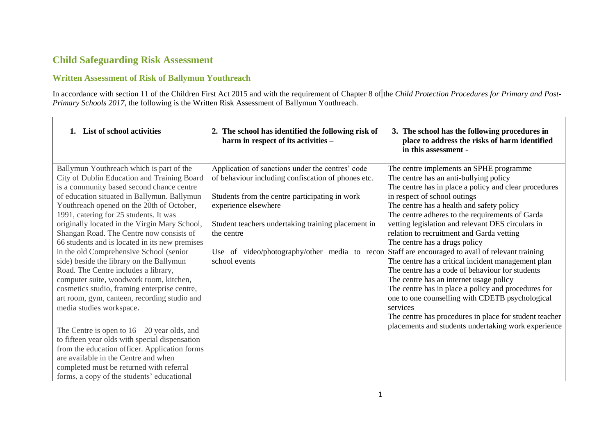# **Child Safeguarding Risk Assessment**

## **Written Assessment of Risk of Ballymun Youthreach**

In accordance with section 11 of the Children First Act 2015 and with the requirement of Chapter 8 of the *Child Protection Procedures for Primary and Post-Primary Schools 2017*, the following is the Written Risk Assessment of Ballymun Youthreach.

| 1. List of school activities                   | 2. The school has identified the following risk of<br>harm in respect of its activities - | 3. The school has the following procedures in<br>place to address the risks of harm identified<br>in this assessment - |
|------------------------------------------------|-------------------------------------------------------------------------------------------|------------------------------------------------------------------------------------------------------------------------|
| Ballymun Youthreach which is part of the       | Application of sanctions under the centres' code                                          | The centre implements an SPHE programme                                                                                |
| City of Dublin Education and Training Board    | of behaviour including confiscation of phones etc.                                        | The centre has an anti-bullying policy                                                                                 |
| is a community based second chance centre      |                                                                                           | The centre has in place a policy and clear procedures                                                                  |
| of education situated in Ballymun. Ballymun    | Students from the centre participating in work                                            | in respect of school outings                                                                                           |
| Youthreach opened on the 20th of October,      | experience elsewhere                                                                      | The centre has a health and safety policy                                                                              |
| 1991, catering for 25 students. It was         |                                                                                           | The centre adheres to the requirements of Garda                                                                        |
| originally located in the Virgin Mary School,  | Student teachers undertaking training placement in                                        | vetting legislation and relevant DES circulars in                                                                      |
| Shangan Road. The Centre now consists of       | the centre                                                                                | relation to recruitment and Garda vetting                                                                              |
| 66 students and is located in its new premises |                                                                                           | The centre has a drugs policy                                                                                          |
| in the old Comprehensive School (senior        | Use of video/photography/other media to record                                            | Staff are encouraged to avail of relevant training                                                                     |
| side) beside the library on the Ballymun       | school events                                                                             | The centre has a critical incident management plan                                                                     |
| Road. The Centre includes a library,           |                                                                                           | The centre has a code of behaviour for students                                                                        |
| computer suite, woodwork room, kitchen,        |                                                                                           | The centre has an internet usage policy                                                                                |
| cosmetics studio, framing enterprise centre,   |                                                                                           | The centre has in place a policy and procedures for                                                                    |
| art room, gym, canteen, recording studio and   |                                                                                           | one to one counselling with CDETB psychological                                                                        |
| media studies workspace.                       |                                                                                           | services                                                                                                               |
|                                                |                                                                                           | The centre has procedures in place for student teacher                                                                 |
| The Centre is open to $16 - 20$ year olds, and |                                                                                           | placements and students undertaking work experience                                                                    |
| to fifteen year olds with special dispensation |                                                                                           |                                                                                                                        |
| from the education officer. Application forms  |                                                                                           |                                                                                                                        |
| are available in the Centre and when           |                                                                                           |                                                                                                                        |
| completed must be returned with referral       |                                                                                           |                                                                                                                        |
| forms, a copy of the students' educational     |                                                                                           |                                                                                                                        |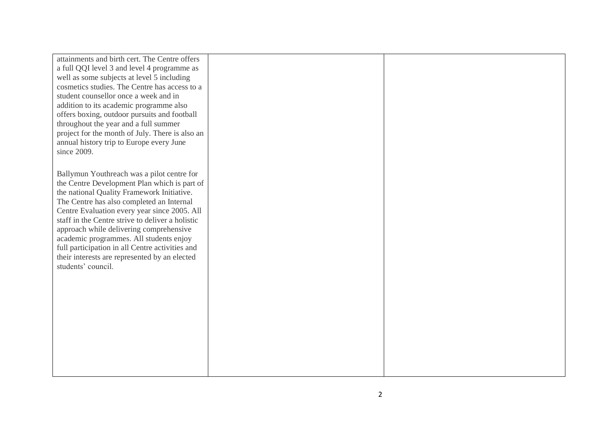| attainments and birth cert. The Centre offers    |  |
|--------------------------------------------------|--|
| a full QQI level 3 and level 4 programme as      |  |
| well as some subjects at level 5 including       |  |
| cosmetics studies. The Centre has access to a    |  |
| student counsellor once a week and in            |  |
| addition to its academic programme also          |  |
| offers boxing, outdoor pursuits and football     |  |
| throughout the year and a full summer            |  |
| project for the month of July. There is also an  |  |
| annual history trip to Europe every June         |  |
| since 2009.                                      |  |
|                                                  |  |
| Ballymun Youthreach was a pilot centre for       |  |
| the Centre Development Plan which is part of     |  |
| the national Quality Framework Initiative.       |  |
| The Centre has also completed an Internal        |  |
| Centre Evaluation every year since 2005. All     |  |
| staff in the Centre strive to deliver a holistic |  |
| approach while delivering comprehensive          |  |
| academic programmes. All students enjoy          |  |
| full participation in all Centre activities and  |  |
| their interests are represented by an elected    |  |
| students' council.                               |  |
|                                                  |  |
|                                                  |  |
|                                                  |  |
|                                                  |  |
|                                                  |  |
|                                                  |  |
|                                                  |  |
|                                                  |  |
|                                                  |  |
|                                                  |  |
|                                                  |  |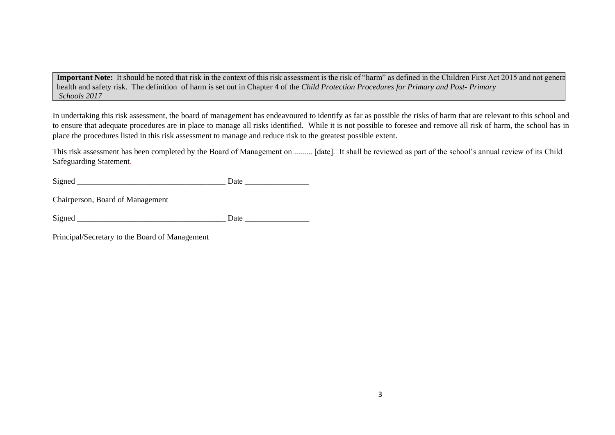Important Note: It should be noted that risk in the context of this risk assessment is the risk of "harm" as defined in the Children First Act 2015 and not general health and safety risk. The definition of harm is set out in Chapter 4 of the *Child Protection Procedures for Primary and Post- Primary Schools 2017*

In undertaking this risk assessment, the board of management has endeavoured to identify as far as possible the risks of harm that are relevant to this school and to ensure that adequate procedures are in place to manage all risks identified. While it is not possible to foresee and remove all risk of harm, the school has in place the procedures listed in this risk assessment to manage and reduce risk to the greatest possible extent.

This risk assessment has been completed by the Board of Management on ......... [date]. It shall be reviewed as part of the school's annual review of its Child Safeguarding Statement.

| $\mathbf{G}$ | . |
|--------------|---|
| ນ⊥           |   |
|              |   |

Chairperson, Board of Management

Signed Date

Principal/Secretary to the Board of Management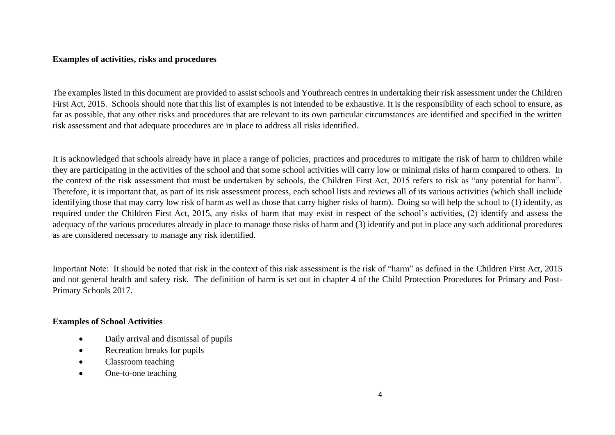#### **Examples of activities, risks and procedures**

The examples listed in this document are provided to assist schools and Youthreach centres in undertaking their risk assessment under the Children First Act, 2015. Schools should note that this list of examples is not intended to be exhaustive. It is the responsibility of each school to ensure, as far as possible, that any other risks and procedures that are relevant to its own particular circumstances are identified and specified in the written risk assessment and that adequate procedures are in place to address all risks identified.

It is acknowledged that schools already have in place a range of policies, practices and procedures to mitigate the risk of harm to children while they are participating in the activities of the school and that some school activities will carry low or minimal risks of harm compared to others. In the context of the risk assessment that must be undertaken by schools, the Children First Act, 2015 refers to risk as "any potential for harm". Therefore, it is important that, as part of its risk assessment process, each school lists and reviews all of its various activities (which shall include identifying those that may carry low risk of harm as well as those that carry higher risks of harm). Doing so will help the school to (1) identify, as required under the Children First Act, 2015, any risks of harm that may exist in respect of the school's activities, (2) identify and assess the adequacy of the various procedures already in place to manage those risks of harm and (3) identify and put in place any such additional procedures as are considered necessary to manage any risk identified.

Important Note: It should be noted that risk in the context of this risk assessment is the risk of "harm" as defined in the Children First Act, 2015 and not general health and safety risk. The definition of harm is set out in chapter 4 of the Child Protection Procedures for Primary and Post-Primary Schools 2017.

#### **Examples of School Activities**

- Daily arrival and dismissal of pupils
- Recreation breaks for pupils
- Classroom teaching
- One-to-one teaching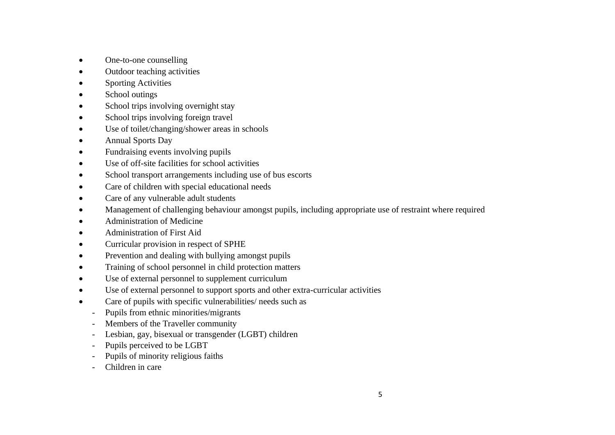- One-to-one counselling
- Outdoor teaching activities
- **Sporting Activities**
- School outings
- School trips involving overnight stay
- School trips involving foreign travel
- Use of toilet/changing/shower areas in schools
- Annual Sports Day
- Fundraising events involving pupils
- Use of off-site facilities for school activities
- School transport arrangements including use of bus escorts
- Care of children with special educational needs
- Care of any vulnerable adult students
- Management of challenging behaviour amongst pupils, including appropriate use of restraint where required
- Administration of Medicine
- Administration of First Aid
- Curricular provision in respect of SPHE
- Prevention and dealing with bullying amongst pupils
- Training of school personnel in child protection matters
- Use of external personnel to supplement curriculum
- Use of external personnel to support sports and other extra-curricular activities
- Care of pupils with specific vulnerabilities/ needs such as
	- Pupils from ethnic minorities/migrants
	- Members of the Traveller community
	- Lesbian, gay, bisexual or transgender (LGBT) children
	- Pupils perceived to be LGBT
	- Pupils of minority religious faiths
	- Children in care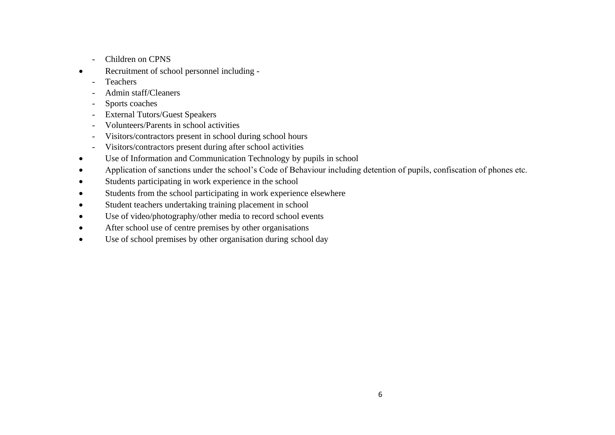- Children on CPNS
- Recruitment of school personnel including
	- Teachers
	- Admin staff/Cleaners
	- Sports coaches
	- External Tutors/Guest Speakers
	- Volunteers/Parents in school activities
	- Visitors/contractors present in school during school hours
	- Visitors/contractors present during after school activities
- Use of Information and Communication Technology by pupils in school
- Application of sanctions under the school's Code of Behaviour including detention of pupils, confiscation of phones etc.
- Students participating in work experience in the school
- Students from the school participating in work experience elsewhere
- Student teachers undertaking training placement in school
- Use of video/photography/other media to record school events
- After school use of centre premises by other organisations
- Use of school premises by other organisation during school day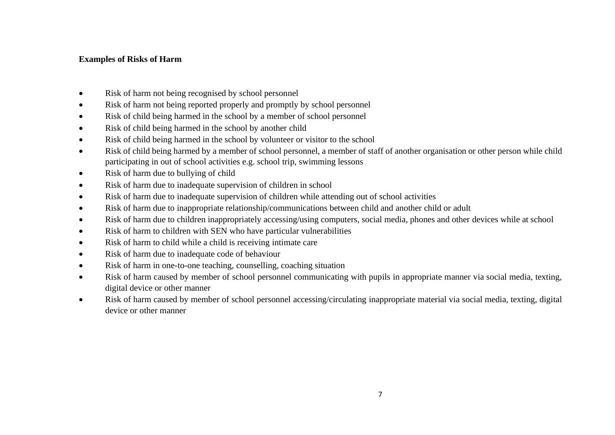## **Examples of Risks of Harm**

- Risk of harm not being recognised by school personnel
- Risk of harm not being reported properly and promptly by school personnel
- Risk of child being harmed in the school by a member of school personnel
- Risk of child being harmed in the school by another child
- Risk of child being harmed in the school by volunteer or visitor to the school
- Risk of child being harmed by a member of school personnel, a member of staff of another organisation or other person while child participating in out of school activities e.g. school trip, swimming lessons
- Risk of harm due to bullying of child
- Risk of harm due to inadequate supervision of children in school
- Risk of harm due to inadequate supervision of children while attending out of school activities
- Risk of harm due to inappropriate relationship/communications between child and another child or adult
- Risk of harm due to children inappropriately accessing/using computers, social media, phones and other devices while at school
- Risk of harm to children with SEN who have particular vulnerabilities
- Risk of harm to child while a child is receiving intimate care
- Risk of harm due to inadequate code of behaviour
- Risk of harm in one-to-one teaching, counselling, coaching situation
- Risk of harm caused by member of school personnel communicating with pupils in appropriate manner via social media, texting, digital device or other manner
- Risk of harm caused by member of school personnel accessing/circulating inappropriate material via social media, texting, digital device or other manner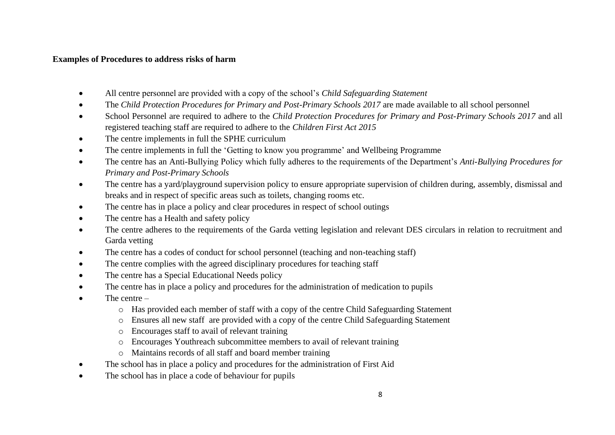### **Examples of Procedures to address risks of harm**

- All centre personnel are provided with a copy of the school's *Child Safeguarding Statement*
- The *Child Protection Procedures for Primary and Post-Primary Schools 2017* are made available to all school personnel
- School Personnel are required to adhere to the *Child Protection Procedures for Primary and Post-Primary Schools 2017* and all registered teaching staff are required to adhere to the *Children First Act 2015*
- The centre implements in full the SPHE curriculum
- The centre implements in full the 'Getting to know you programme' and Wellbeing Programme
- The centre has an Anti-Bullying Policy which fully adheres to the requirements of the Department's *Anti-Bullying Procedures for Primary and Post-Primary Schools*
- The centre has a yard/playground supervision policy to ensure appropriate supervision of children during, assembly, dismissal and breaks and in respect of specific areas such as toilets, changing rooms etc.
- The centre has in place a policy and clear procedures in respect of school outings
- The centre has a Health and safety policy
- The centre adheres to the requirements of the Garda vetting legislation and relevant DES circulars in relation to recruitment and Garda vetting
- The centre has a codes of conduct for school personnel (teaching and non-teaching staff)
- The centre complies with the agreed disciplinary procedures for teaching staff
- The centre has a Special Educational Needs policy
- The centre has in place a policy and procedures for the administration of medication to pupils
- The centre  $$ 
	- o Has provided each member of staff with a copy of the centre Child Safeguarding Statement
	- o Ensures all new staff are provided with a copy of the centre Child Safeguarding Statement
	- o Encourages staff to avail of relevant training
	- o Encourages Youthreach subcommittee members to avail of relevant training
	- o Maintains records of all staff and board member training
- The school has in place a policy and procedures for the administration of First Aid
- The school has in place a code of behaviour for pupils